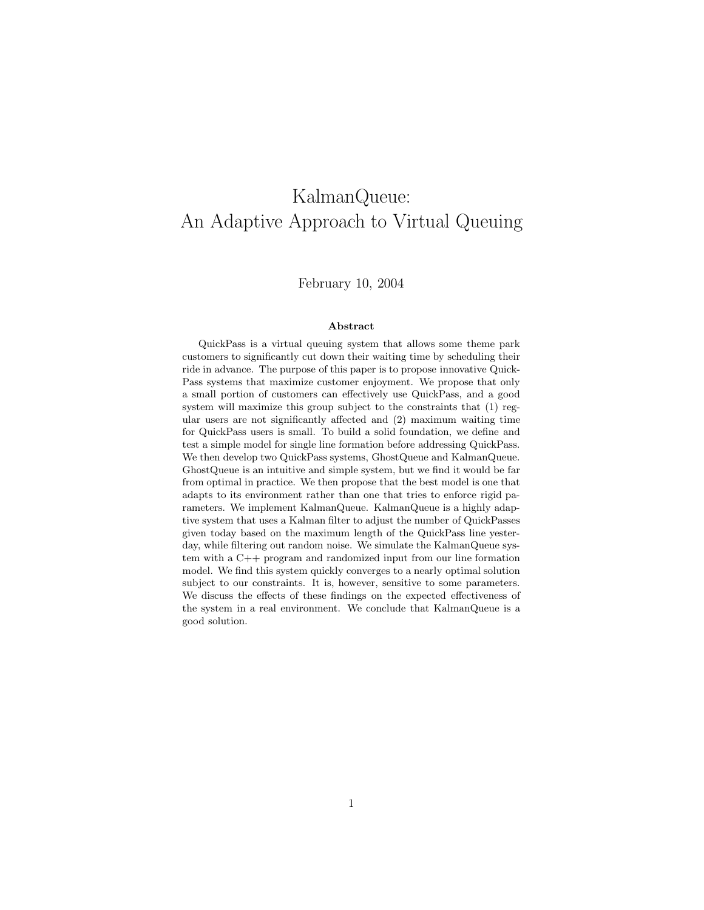# KalmanQueue: An Adaptive Approach to Virtual Queuing

February 10, 2004

### **Abstract**

QuickPass is a virtual queuing system that allows some theme park customers to significantly cut down their waiting time by scheduling their ride in advance. The purpose of this paper is to propose innovative Quick-Pass systems that maximize customer enjoyment. We propose that only a small portion of customers can effectively use QuickPass, and a good system will maximize this group subject to the constraints that (1) regular users are not significantly affected and (2) maximum waiting time for QuickPass users is small. To build a solid foundation, we define and test a simple model for single line formation before addressing QuickPass. We then develop two QuickPass systems, GhostQueue and KalmanQueue. GhostQueue is an intuitive and simple system, but we find it would be far from optimal in practice. We then propose that the best model is one that adapts to its environment rather than one that tries to enforce rigid parameters. We implement KalmanQueue. KalmanQueue is a highly adaptive system that uses a Kalman filter to adjust the number of QuickPasses given today based on the maximum length of the QuickPass line yesterday, while filtering out random noise. We simulate the KalmanQueue system with a C++ program and randomized input from our line formation model. We find this system quickly converges to a nearly optimal solution subject to our constraints. It is, however, sensitive to some parameters. We discuss the effects of these findings on the expected effectiveness of the system in a real environment. We conclude that KalmanQueue is a good solution.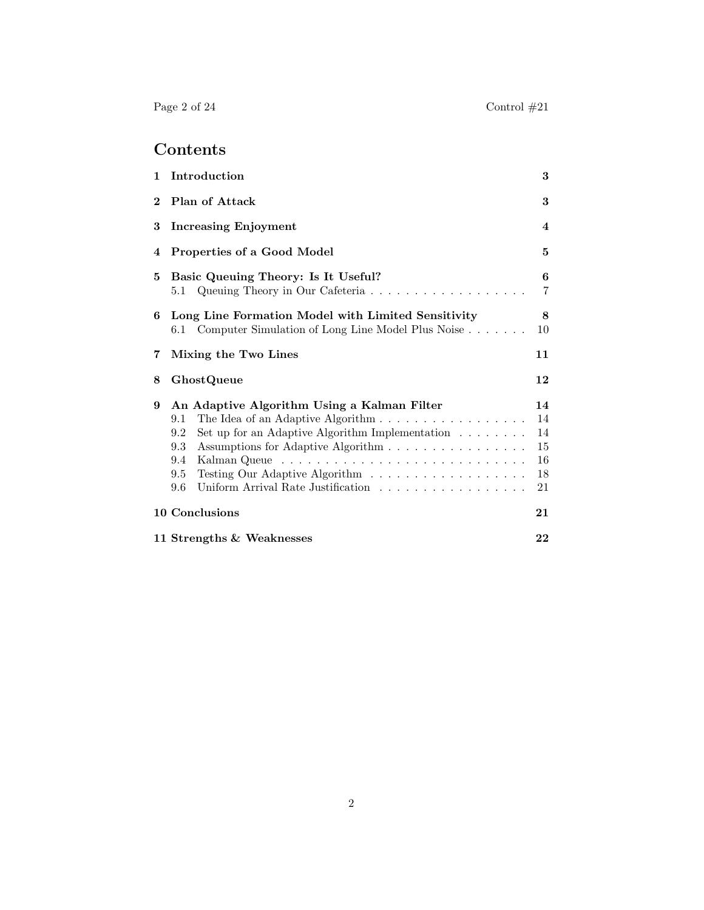# **Contents**

| $\mathbf{1}$ | Introduction                                                                                                                                                                                   |                                        |  |  |  |  |
|--------------|------------------------------------------------------------------------------------------------------------------------------------------------------------------------------------------------|----------------------------------------|--|--|--|--|
| $\mathbf 2$  | <b>Plan of Attack</b><br>3                                                                                                                                                                     |                                        |  |  |  |  |
| 3            | <b>Increasing Enjoyment</b>                                                                                                                                                                    |                                        |  |  |  |  |
| 4            | Properties of a Good Model<br>5                                                                                                                                                                |                                        |  |  |  |  |
| 5            | Basic Queuing Theory: Is It Useful?<br>6<br>$\overline{7}$<br>5.1                                                                                                                              |                                        |  |  |  |  |
| 6            | Long Line Formation Model with Limited Sensitivity<br>6.1 Computer Simulation of Long Line Model Plus Noise                                                                                    | 8<br>10                                |  |  |  |  |
| 7            | Mixing the Two Lines<br>11                                                                                                                                                                     |                                        |  |  |  |  |
| 8            | GhostQueue                                                                                                                                                                                     |                                        |  |  |  |  |
| 9            | An Adaptive Algorithm Using a Kalman Filter<br>9.1<br>Set up for an Adaptive Algorithm Implementation $\ldots \ldots$<br>9.2<br>Assumptions for Adaptive Algorithm<br>9.3<br>9.4<br>9.5<br>9.6 | 14<br>14<br>14<br>15<br>16<br>18<br>21 |  |  |  |  |
|              | 10 Conclusions                                                                                                                                                                                 | 21                                     |  |  |  |  |
|              | 11 Strengths & Weaknesses<br>22                                                                                                                                                                |                                        |  |  |  |  |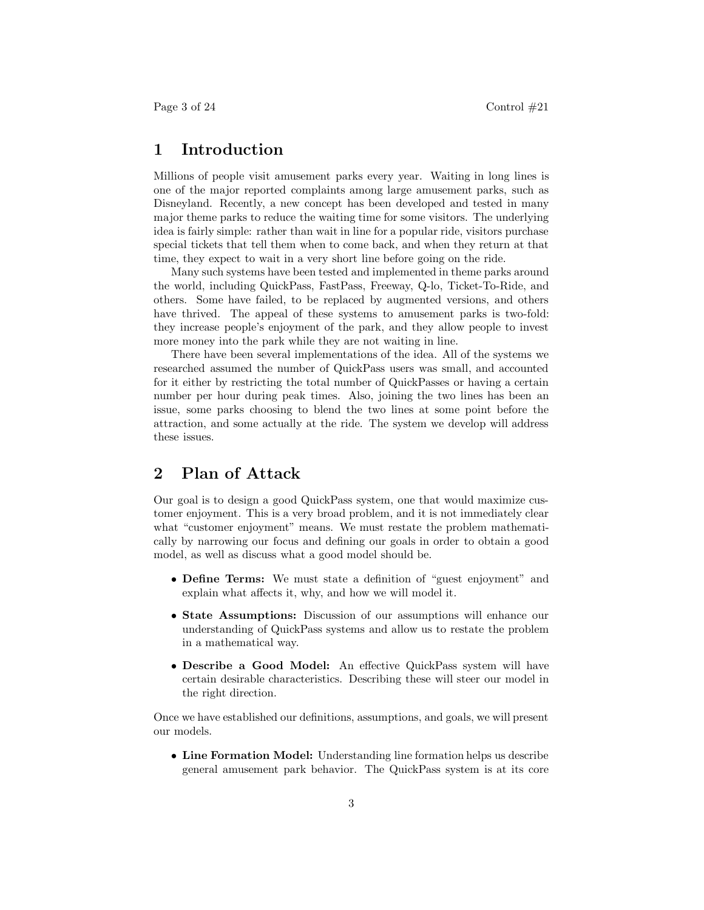### **1 Introduction**

Millions of people visit amusement parks every year. Waiting in long lines is one of the major reported complaints among large amusement parks, such as Disneyland. Recently, a new concept has been developed and tested in many major theme parks to reduce the waiting time for some visitors. The underlying idea is fairly simple: rather than wait in line for a popular ride, visitors purchase special tickets that tell them when to come back, and when they return at that time, they expect to wait in a very short line before going on the ride.

Many such systems have been tested and implemented in theme parks around the world, including QuickPass, FastPass, Freeway, Q-lo, Ticket-To-Ride, and others. Some have failed, to be replaced by augmented versions, and others have thrived. The appeal of these systems to amusement parks is two-fold: they increase people's enjoyment of the park, and they allow people to invest more money into the park while they are not waiting in line.

There have been several implementations of the idea. All of the systems we researched assumed the number of QuickPass users was small, and accounted for it either by restricting the total number of QuickPasses or having a certain number per hour during peak times. Also, joining the two lines has been an issue, some parks choosing to blend the two lines at some point before the attraction, and some actually at the ride. The system we develop will address these issues.

# **2 Plan of Attack**

Our goal is to design a good QuickPass system, one that would maximize customer enjoyment. This is a very broad problem, and it is not immediately clear what "customer enjoyment" means. We must restate the problem mathematically by narrowing our focus and defining our goals in order to obtain a good model, as well as discuss what a good model should be.

- **Define Terms:** We must state a definition of "guest enjoyment" and explain what affects it, why, and how we will model it.
- **State Assumptions:** Discussion of our assumptions will enhance our understanding of QuickPass systems and allow us to restate the problem in a mathematical way.
- **Describe a Good Model:** An effective QuickPass system will have certain desirable characteristics. Describing these will steer our model in the right direction.

Once we have established our definitions, assumptions, and goals, we will present our models.

• **Line Formation Model:** Understanding line formation helps us describe general amusement park behavior. The QuickPass system is at its core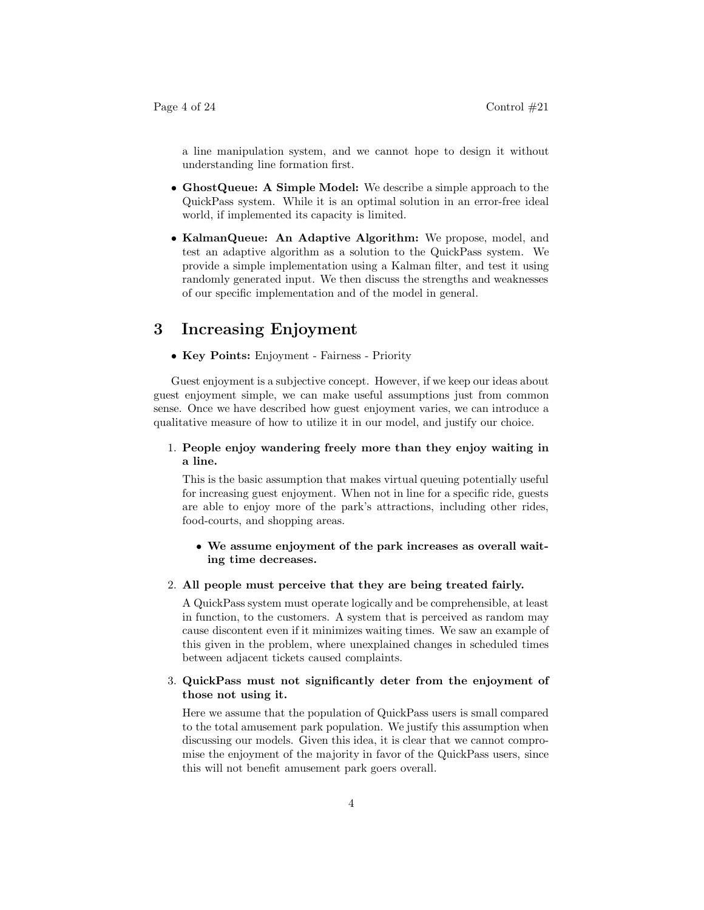a line manipulation system, and we cannot hope to design it without understanding line formation first.

- **GhostQueue: A Simple Model:** We describe a simple approach to the QuickPass system. While it is an optimal solution in an error-free ideal world, if implemented its capacity is limited.
- **KalmanQueue: An Adaptive Algorithm:** We propose, model, and test an adaptive algorithm as a solution to the QuickPass system. We provide a simple implementation using a Kalman filter, and test it using randomly generated input. We then discuss the strengths and weaknesses of our specific implementation and of the model in general.

### **3 Increasing Enjoyment**

### • **Key Points:** Enjoyment - Fairness - Priority

Guest enjoyment is a subjective concept. However, if we keep our ideas about guest enjoyment simple, we can make useful assumptions just from common sense. Once we have described how guest enjoyment varies, we can introduce a qualitative measure of how to utilize it in our model, and justify our choice.

### 1. **People enjoy wandering freely more than they enjoy waiting in a line.**

This is the basic assumption that makes virtual queuing potentially useful for increasing guest enjoyment. When not in line for a specific ride, guests are able to enjoy more of the park's attractions, including other rides, food-courts, and shopping areas.

### • **We assume enjoyment of the park increases as overall waiting time decreases.**

#### 2. **All people must perceive that they are being treated fairly.**

A QuickPass system must operate logically and be comprehensible, at least in function, to the customers. A system that is perceived as random may cause discontent even if it minimizes waiting times. We saw an example of this given in the problem, where unexplained changes in scheduled times between adjacent tickets caused complaints.

### 3. **QuickPass must not significantly deter from the enjoyment of those not using it.**

Here we assume that the population of QuickPass users is small compared to the total amusement park population. We justify this assumption when discussing our models. Given this idea, it is clear that we cannot compromise the enjoyment of the majority in favor of the QuickPass users, since this will not benefit amusement park goers overall.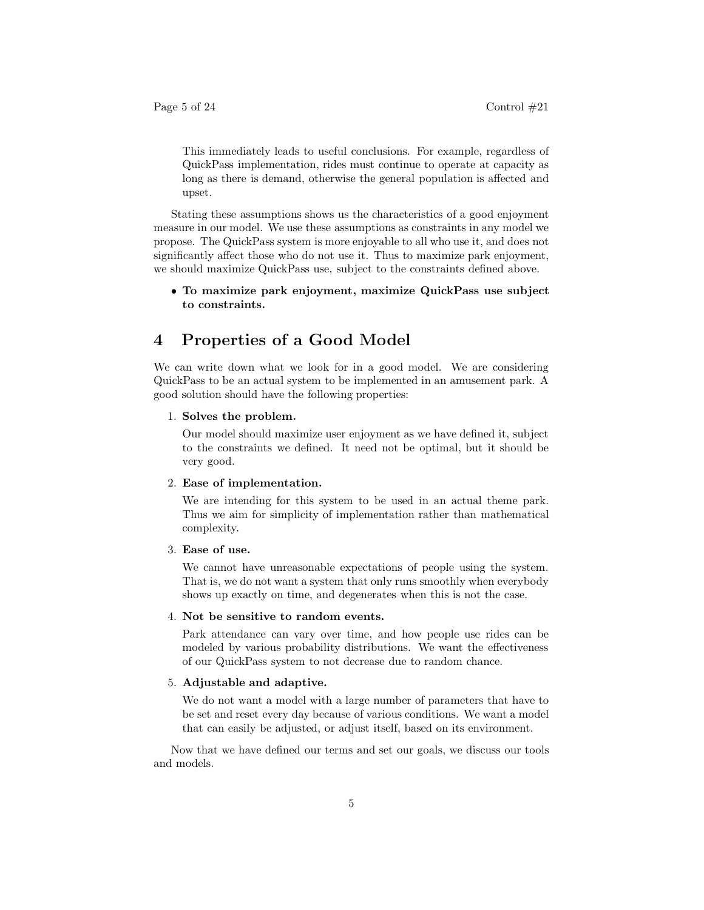This immediately leads to useful conclusions. For example, regardless of QuickPass implementation, rides must continue to operate at capacity as long as there is demand, otherwise the general population is affected and upset.

Stating these assumptions shows us the characteristics of a good enjoyment measure in our model. We use these assumptions as constraints in any model we propose. The QuickPass system is more enjoyable to all who use it, and does not significantly affect those who do not use it. Thus to maximize park enjoyment, we should maximize QuickPass use, subject to the constraints defined above.

### • **To maximize park enjoyment, maximize QuickPass use subject to constraints.**

## **4 Properties of a Good Model**

We can write down what we look for in a good model. We are considering QuickPass to be an actual system to be implemented in an amusement park. A good solution should have the following properties:

### 1. **Solves the problem.**

Our model should maximize user enjoyment as we have defined it, subject to the constraints we defined. It need not be optimal, but it should be very good.

### 2. **Ease of implementation.**

We are intending for this system to be used in an actual theme park. Thus we aim for simplicity of implementation rather than mathematical complexity.

### 3. **Ease of use.**

We cannot have unreasonable expectations of people using the system. That is, we do not want a system that only runs smoothly when everybody shows up exactly on time, and degenerates when this is not the case.

### 4. **Not be sensitive to random events.**

Park attendance can vary over time, and how people use rides can be modeled by various probability distributions. We want the effectiveness of our QuickPass system to not decrease due to random chance.

### 5. **Adjustable and adaptive.**

We do not want a model with a large number of parameters that have to be set and reset every day because of various conditions. We want a model that can easily be adjusted, or adjust itself, based on its environment.

Now that we have defined our terms and set our goals, we discuss our tools and models.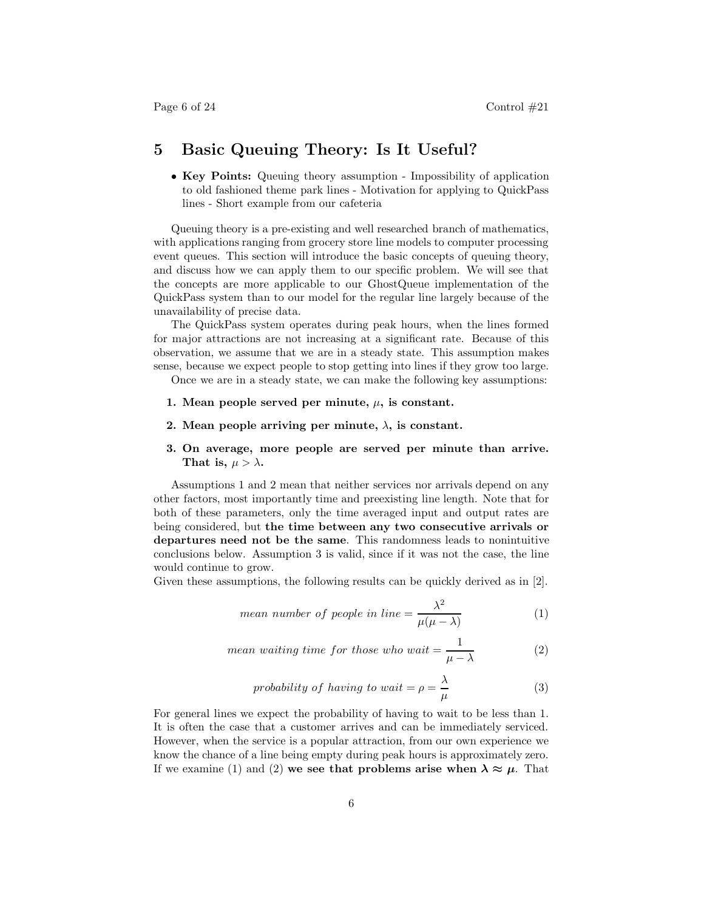# **5 Basic Queuing Theory: Is It Useful?**

• **Key Points:** Queuing theory assumption - Impossibility of application to old fashioned theme park lines - Motivation for applying to QuickPass lines - Short example from our cafeteria

Queuing theory is a pre-existing and well researched branch of mathematics, with applications ranging from grocery store line models to computer processing event queues. This section will introduce the basic concepts of queuing theory, and discuss how we can apply them to our specific problem. We will see that the concepts are more applicable to our GhostQueue implementation of the QuickPass system than to our model for the regular line largely because of the unavailability of precise data.

The QuickPass system operates during peak hours, when the lines formed for major attractions are not increasing at a significant rate. Because of this observation, we assume that we are in a steady state. This assumption makes sense, because we expect people to stop getting into lines if they grow too large.

Once we are in a steady state, we can make the following key assumptions:

- 1. Mean people served per minute,  $\mu$ , is constant.
- **2.** Mean people arriving per minute,  $\lambda$ , is constant.
- **3. On average, more people are served per minute than arrive. That is,**  $\mu > \lambda$ .

Assumptions 1 and 2 mean that neither services nor arrivals depend on any other factors, most importantly time and preexisting line length. Note that for both of these parameters, only the time averaged input and output rates are being considered, but **the time between any two consecutive arrivals or departures need not be the same**. This randomness leads to nonintuitive conclusions below. Assumption 3 is valid, since if it was not the case, the line would continue to grow.

Given these assumptions, the following results can be quickly derived as in [2].

mean number of people in line = 
$$
\frac{\lambda^2}{\mu(\mu - \lambda)}
$$
 (1)

mean waiting time for those who wait = 
$$
\frac{1}{\mu - \lambda}
$$
 (2)

probability of having to wait = 
$$
\rho = \frac{\lambda}{\mu}
$$
 (3)

For general lines we expect the probability of having to wait to be less than 1. It is often the case that a customer arrives and can be immediately serviced. However, when the service is a popular attraction, from our own experience we know the chance of a line being empty during peak hours is approximately zero. If we examine (1) and (2) we see that problems arise when  $\lambda \approx \mu$ . That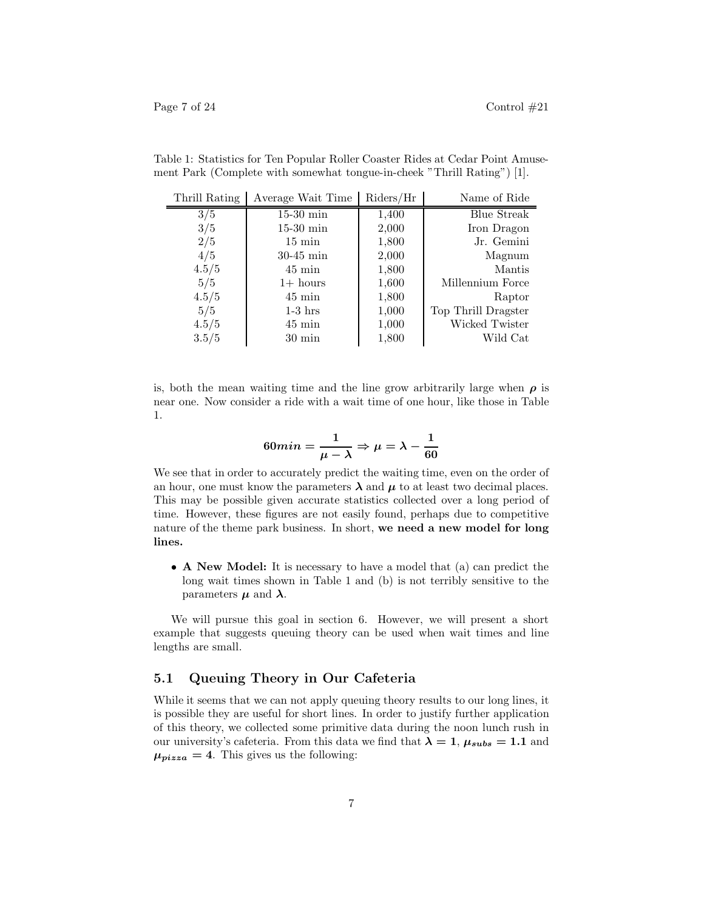$\equiv$ 

| Thrill Rating    | Average Wait Time   | Riders/Hr | Name of Ride        |
|------------------|---------------------|-----------|---------------------|
| $\overline{3/5}$ | $15-30$ min         | 1,400     | Blue Streak         |
| 3/5              | $15-30$ min         | 2,000     | Iron Dragon         |
| 2/5              | $15 \text{ min}$    | 1,800     | Jr. Gemini          |
| 4/5              | $30-45$ min         | 2,000     | Magnum              |
| 4.5/5            | $45 \,\mathrm{min}$ | 1,800     | Mantis              |
| 5/5              | $1+$ hours          | 1,600     | Millennium Force    |
| 4.5/5            | $45 \text{ min}$    | 1,800     | Raptor              |
| 5/5              | $1-3$ hrs           | 1,000     | Top Thrill Dragster |
| 4.5/5            | $45 \text{ min}$    | 1,000     | Wicked Twister      |
| 3.5/5            | $30 \text{ min}$    | 1,800     | Wild Cat            |

Table 1: Statistics for Ten Popular Roller Coaster Rides at Cedar Point Amusement Park (Complete with somewhat tongue-in-cheek "Thrill Rating") [1].

is, both the mean waiting time and the line grow arbitrarily large when  $\rho$  is near one. Now consider a ride with a wait time of one hour, like those in Table 1.

$$
60min = \frac{1}{\mu - \lambda} \Rightarrow \mu = \lambda - \frac{1}{60}
$$

We see that in order to accurately predict the waiting time, even on the order of an hour, one must know the parameters  $\lambda$  and  $\mu$  to at least two decimal places. This may be possible given accurate statistics collected over a long period of time. However, these figures are not easily found, perhaps due to competitive nature of the theme park business. In short, **we need a new model for long lines.**

• **A New Model:** It is necessary to have a model that (a) can predict the long wait times shown in Table 1 and (b) is not terribly sensitive to the parameters  $\mu$  and  $\lambda$ .

We will pursue this goal in section 6. However, we will present a short example that suggests queuing theory can be used when wait times and line lengths are small.

### **5.1 Queuing Theory in Our Cafeteria**

While it seems that we can not apply queuing theory results to our long lines, it is possible they are useful for short lines. In order to justify further application of this theory, we collected some primitive data during the noon lunch rush in our university's cafeteria. From this data we find that  $\lambda = 1$ ,  $\mu_{subs} = 1.1$  and  $\mu_{pizza} = 4$ . This gives us the following: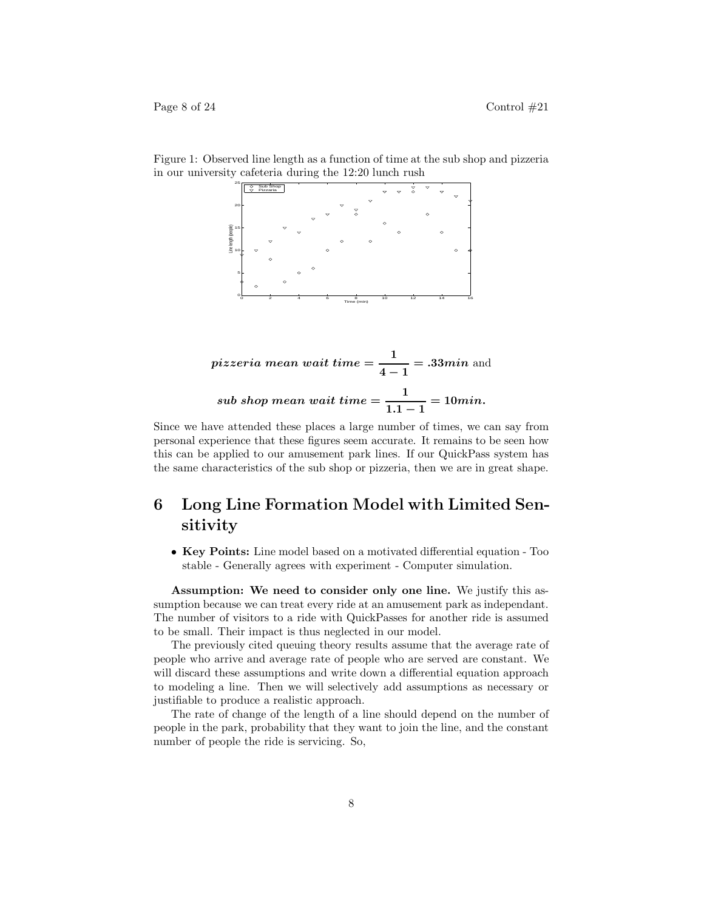Figure 1: Observed line length as a function of time at the sub shop and pizzeria in our university cafeteria during the 12:20 lunch rush



$$
pizzeria \text{ mean } wait \text{ time} = \frac{1}{4-1} = .33 \text{min and}
$$
\n
$$
sub \text{ shop mean } wait \text{ time} = \frac{1}{1.1-1} = 10 \text{min.}
$$

Since we have attended these places a large number of times, we can say from personal experience that these figures seem accurate. It remains to be seen how this can be applied to our amusement park lines. If our QuickPass system has the same characteristics of the sub shop or pizzeria, then we are in great shape.

# **6 Long Line Formation Model with Limited Sensitivity**

• **Key Points:** Line model based on a motivated differential equation - Too stable - Generally agrees with experiment - Computer simulation.

**Assumption: We need to consider only one line.** We justify this assumption because we can treat every ride at an amusement park as independant. The number of visitors to a ride with QuickPasses for another ride is assumed to be small. Their impact is thus neglected in our model.

The previously cited queuing theory results assume that the average rate of people who arrive and average rate of people who are served are constant. We will discard these assumptions and write down a differential equation approach to modeling a line. Then we will selectively add assumptions as necessary or justifiable to produce a realistic approach.

The rate of change of the length of a line should depend on the number of people in the park, probability that they want to join the line, and the constant number of people the ride is servicing. So,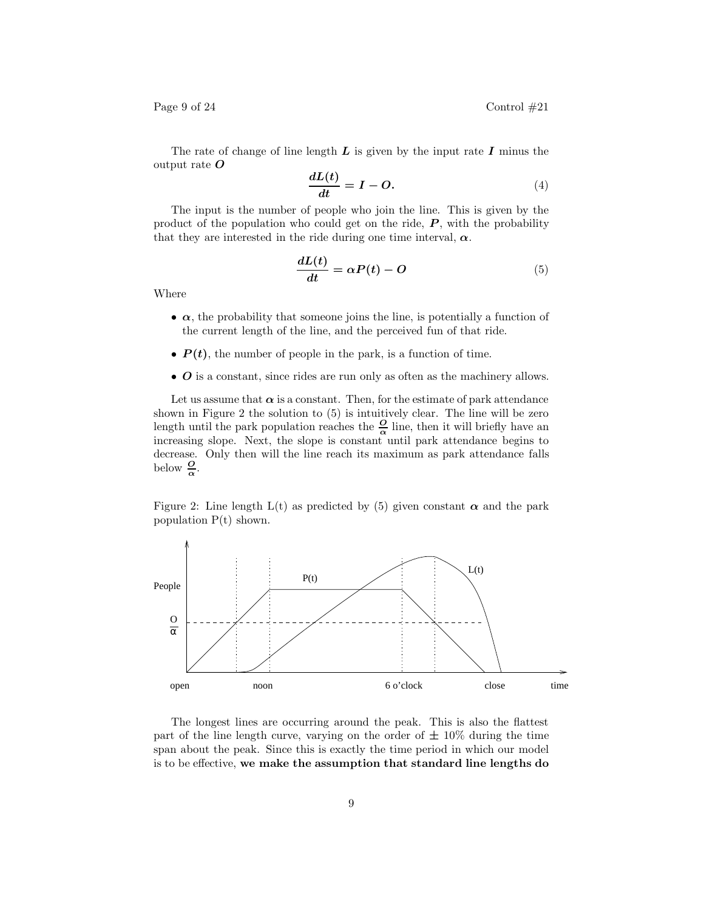The rate of change of line length *L* is given by the input rate *I* minus the output rate *O*

$$
\frac{dL(t)}{dt} = I - O.\t\t(4)
$$

The input is the number of people who join the line. This is given by the product of the population who could get on the ride,  $P$ , with the probability that they are interested in the ride during one time interval,  $\alpha$ .

$$
\frac{dL(t)}{dt} = \alpha P(t) - O \tag{5}
$$

Where

- $\alpha$ , the probability that someone joins the line, is potentially a function of the current length of the line, and the perceived fun of that ride.
- $P(t)$ , the number of people in the park, is a function of time.
- *O* is a constant, since rides are run only as often as the machinery allows.

Let us assume that  $\alpha$  is a constant. Then, for the estimate of park attendance shown in Figure 2 the solution to (5) is intuitively clear. The line will be zero length until the park population reaches the  $\frac{O}{\alpha}$  line, then it will briefly have an increasing slope. Next, the slope is constant until park attendance begins to decrease. Only then will the line reach its maximum as park attendance falls below  $\frac{0}{\alpha}$ .

Figure 2: Line length  $L(t)$  as predicted by (5) given constant  $\alpha$  and the park population  $P(t)$  shown.



The longest lines are occurring around the peak. This is also the flattest part of the line length curve, varying on the order of  $\pm 10\%$  during the time span about the peak. Since this is exactly the time period in which our model is to be effective, **we make the assumption that standard line lengths do**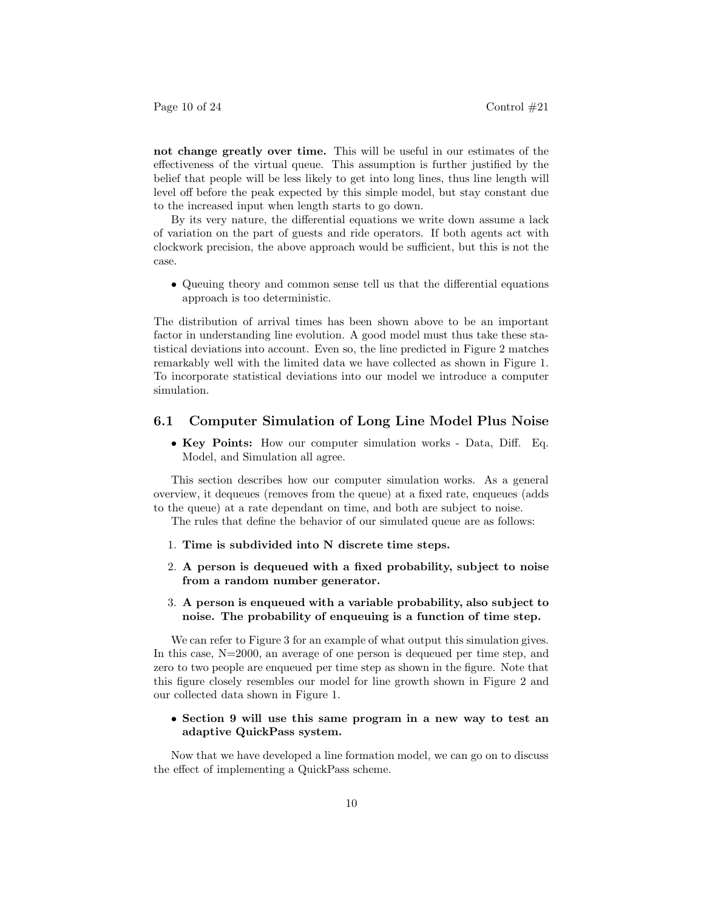Page 10 of 24 Control  $\#21$ 

**not change greatly over time.** This will be useful in our estimates of the effectiveness of the virtual queue. This assumption is further justified by the belief that people will be less likely to get into long lines, thus line length will level off before the peak expected by this simple model, but stay constant due to the increased input when length starts to go down.

By its very nature, the differential equations we write down assume a lack of variation on the part of guests and ride operators. If both agents act with clockwork precision, the above approach would be sufficient, but this is not the case.

• Queuing theory and common sense tell us that the differential equations approach is too deterministic.

The distribution of arrival times has been shown above to be an important factor in understanding line evolution. A good model must thus take these statistical deviations into account. Even so, the line predicted in Figure 2 matches remarkably well with the limited data we have collected as shown in Figure 1. To incorporate statistical deviations into our model we introduce a computer simulation.

### **6.1 Computer Simulation of Long Line Model Plus Noise**

• **Key Points:** How our computer simulation works - Data, Diff. Eq. Model, and Simulation all agree.

This section describes how our computer simulation works. As a general overview, it dequeues (removes from the queue) at a fixed rate, enqueues (adds to the queue) at a rate dependant on time, and both are subject to noise.

The rules that define the behavior of our simulated queue are as follows:

- 1. **Time is subdivided into N discrete time steps.**
- 2. **A person is dequeued with a fixed probability, subject to noise from a random number generator.**
- 3. **A person is enqueued with a variable probability, also subject to noise. The probability of enqueuing is a function of time step.**

We can refer to Figure 3 for an example of what output this simulation gives. In this case,  $N=2000$ , an average of one person is dequeued per time step, and zero to two people are enqueued per time step as shown in the figure. Note that this figure closely resembles our model for line growth shown in Figure 2 and our collected data shown in Figure 1.

### • **Section 9 will use this same program in a new way to test an adaptive QuickPass system.**

Now that we have developed a line formation model, we can go on to discuss the effect of implementing a QuickPass scheme.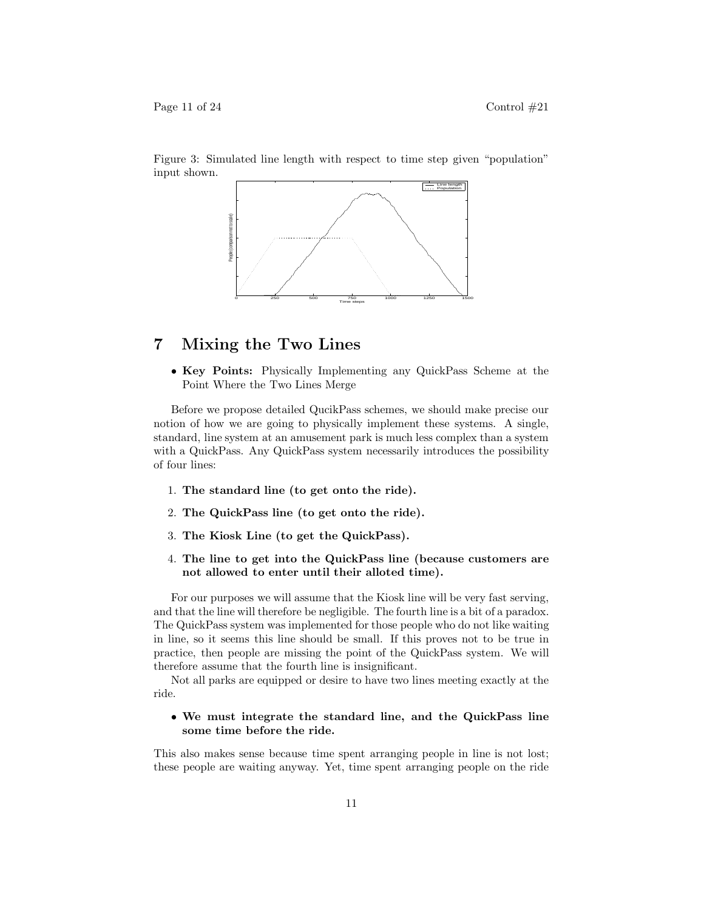Page 11 of 24 Control  $\#21$ 



Figure 3: Simulated line length with respect to time step given "population" input shown.

# **7 Mixing the Two Lines**

• **Key Points:** Physically Implementing any QuickPass Scheme at the Point Where the Two Lines Merge

Before we propose detailed QucikPass schemes, we should make precise our notion of how we are going to physically implement these systems. A single, standard, line system at an amusement park is much less complex than a system with a QuickPass. Any QuickPass system necessarily introduces the possibility of four lines:

- 1. **The standard line (to get onto the ride).**
- 2. **The QuickPass line (to get onto the ride).**
- 3. **The Kiosk Line (to get the QuickPass).**
- 4. **The line to get into the QuickPass line (because customers are not allowed to enter until their alloted time).**

For our purposes we will assume that the Kiosk line will be very fast serving, and that the line will therefore be negligible. The fourth line is a bit of a paradox. The QuickPass system was implemented for those people who do not like waiting in line, so it seems this line should be small. If this proves not to be true in practice, then people are missing the point of the QuickPass system. We will therefore assume that the fourth line is insignificant.

Not all parks are equipped or desire to have two lines meeting exactly at the ride.

### • **We must integrate the standard line, and the QuickPass line some time before the ride.**

This also makes sense because time spent arranging people in line is not lost; these people are waiting anyway. Yet, time spent arranging people on the ride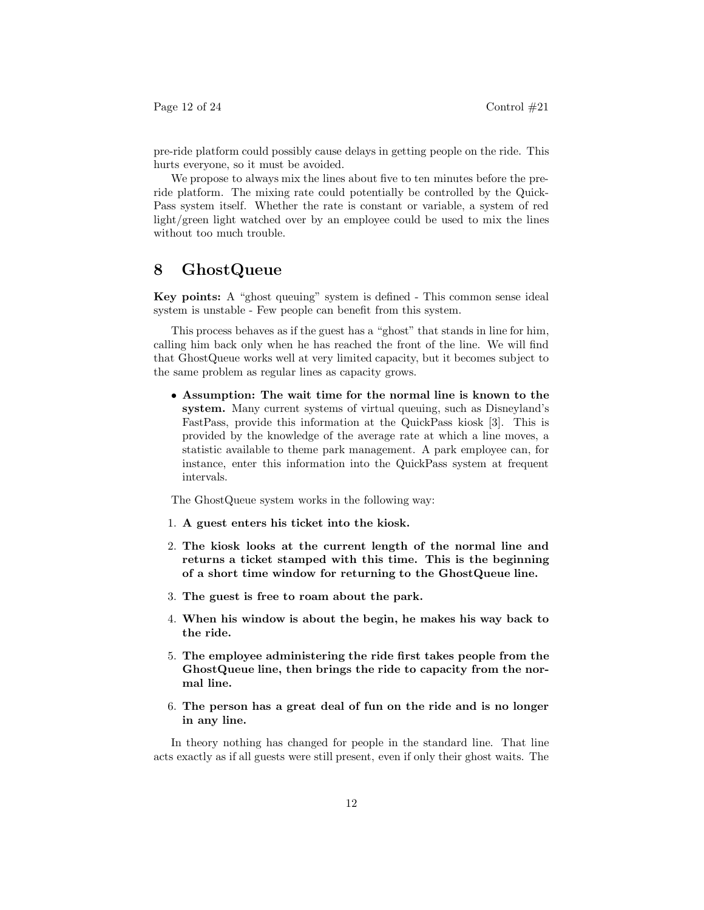pre-ride platform could possibly cause delays in getting people on the ride. This hurts everyone, so it must be avoided.

We propose to always mix the lines about five to ten minutes before the preride platform. The mixing rate could potentially be controlled by the Quick-Pass system itself. Whether the rate is constant or variable, a system of red light/green light watched over by an employee could be used to mix the lines without too much trouble.

### **8 GhostQueue**

**Key points:** A "ghost queuing" system is defined - This common sense ideal system is unstable - Few people can benefit from this system.

This process behaves as if the guest has a "ghost" that stands in line for him, calling him back only when he has reached the front of the line. We will find that GhostQueue works well at very limited capacity, but it becomes subject to the same problem as regular lines as capacity grows.

• **Assumption: The wait time for the normal line is known to the system.** Many current systems of virtual queuing, such as Disneyland's FastPass, provide this information at the QuickPass kiosk [3]. This is provided by the knowledge of the average rate at which a line moves, a statistic available to theme park management. A park employee can, for instance, enter this information into the QuickPass system at frequent intervals.

The GhostQueue system works in the following way:

- 1. **A guest enters his ticket into the kiosk.**
- 2. **The kiosk looks at the current length of the normal line and returns a ticket stamped with this time. This is the beginning of a short time window for returning to the GhostQueue line.**
- 3. **The guest is free to roam about the park.**
- 4. **When his window is about the begin, he makes his way back to the ride.**
- 5. **The employee administering the ride first takes people from the GhostQueue line, then brings the ride to capacity from the normal line.**
- 6. **The person has a great deal of fun on the ride and is no longer in any line.**

In theory nothing has changed for people in the standard line. That line acts exactly as if all guests were still present, even if only their ghost waits. The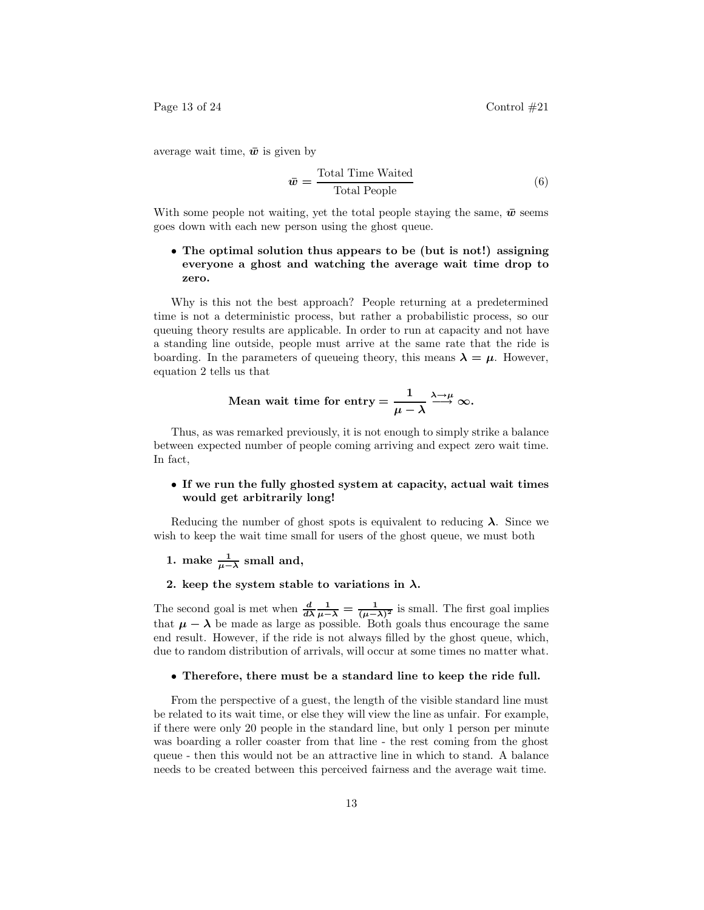average wait time,  $\bar{w}$  is given by

$$
\bar{w} = \frac{\text{Total Time Waited}}{\text{Total People}} \tag{6}
$$

With some people not waiting, yet the total people staying the same,  $\bar{w}$  seems goes down with each new person using the ghost queue.

### • **The optimal solution thus appears to be (but is not!) assigning everyone a ghost and watching the average wait time drop to zero.**

Why is this not the best approach? People returning at a predetermined time is not a deterministic process, but rather a probabilistic process, so our queuing theory results are applicable. In order to run at capacity and not have a standing line outside, people must arrive at the same rate that the ride is boarding. In the parameters of queueing theory, this means  $\lambda = \mu$ . However, equation 2 tells us that

Mean wait time for entry 
$$
=
$$
  $\frac{1}{\mu - \lambda} \xrightarrow{\lambda \to \mu} \infty$ .

Thus, as was remarked previously, it is not enough to simply strike a balance between expected number of people coming arriving and expect zero wait time. In fact,

### • **If we run the fully ghosted system at capacity, actual wait times would get arbitrarily long!**

Reducing the number of ghost spots is equivalent to reducing  $\lambda$ . Since we wish to keep the wait time small for users of the ghost queue, we must both

- **1.** make  $\frac{1}{\mu \lambda}$  small and,
- **2.** keep the system stable to variations in  $\lambda$ .

The second goal is met when  $\frac{d}{d\lambda}$  $\frac{1}{\mu - \lambda} = \frac{1}{(\mu - \lambda)^2}$  is small. The first goal implies that  $\mu - \lambda$  be made as large as possible. Both goals thus encourage the same end result. However, if the ride is not always filled by the ghost queue, which, due to random distribution of arrivals, will occur at some times no matter what.

### • **Therefore, there must be a standard line to keep the ride full.**

From the perspective of a guest, the length of the visible standard line must be related to its wait time, or else they will view the line as unfair. For example, if there were only 20 people in the standard line, but only 1 person per minute was boarding a roller coaster from that line - the rest coming from the ghost queue - then this would not be an attractive line in which to stand. A balance needs to be created between this perceived fairness and the average wait time.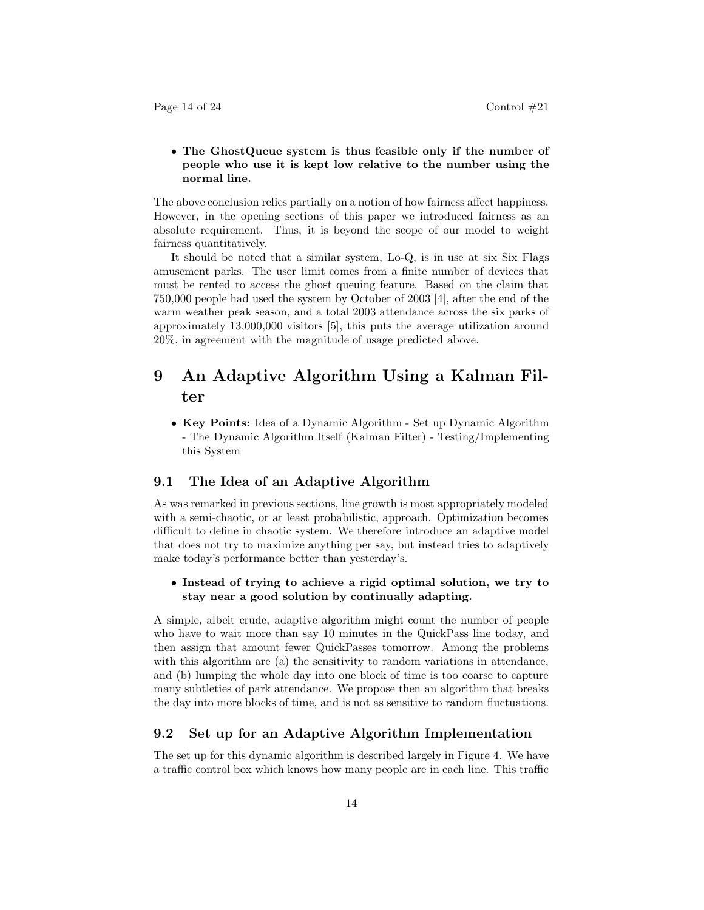Page 14 of 24 Control  $\#21$ 

• **The GhostQueue system is thus feasible only if the number of people who use it is kept low relative to the number using the normal line.**

The above conclusion relies partially on a notion of how fairness affect happiness. However, in the opening sections of this paper we introduced fairness as an absolute requirement. Thus, it is beyond the scope of our model to weight fairness quantitatively.

It should be noted that a similar system, Lo-Q, is in use at six Six Flags amusement parks. The user limit comes from a finite number of devices that must be rented to access the ghost queuing feature. Based on the claim that 750,000 people had used the system by October of 2003 [4], after the end of the warm weather peak season, and a total 2003 attendance across the six parks of approximately 13,000,000 visitors [5], this puts the average utilization around 20%, in agreement with the magnitude of usage predicted above.

# **9 An Adaptive Algorithm Using a Kalman Filter**

• **Key Points:** Idea of a Dynamic Algorithm - Set up Dynamic Algorithm - The Dynamic Algorithm Itself (Kalman Filter) - Testing/Implementing this System

### **9.1 The Idea of an Adaptive Algorithm**

As was remarked in previous sections, line growth is most appropriately modeled with a semi-chaotic, or at least probabilistic, approach. Optimization becomes difficult to define in chaotic system. We therefore introduce an adaptive model that does not try to maximize anything per say, but instead tries to adaptively make today's performance better than yesterday's.

### • **Instead of trying to achieve a rigid optimal solution, we try to stay near a good solution by continually adapting.**

A simple, albeit crude, adaptive algorithm might count the number of people who have to wait more than say 10 minutes in the QuickPass line today, and then assign that amount fewer QuickPasses tomorrow. Among the problems with this algorithm are (a) the sensitivity to random variations in attendance, and (b) lumping the whole day into one block of time is too coarse to capture many subtleties of park attendance. We propose then an algorithm that breaks the day into more blocks of time, and is not as sensitive to random fluctuations.

### **9.2 Set up for an Adaptive Algorithm Implementation**

The set up for this dynamic algorithm is described largely in Figure 4. We have a traffic control box which knows how many people are in each line. This traffic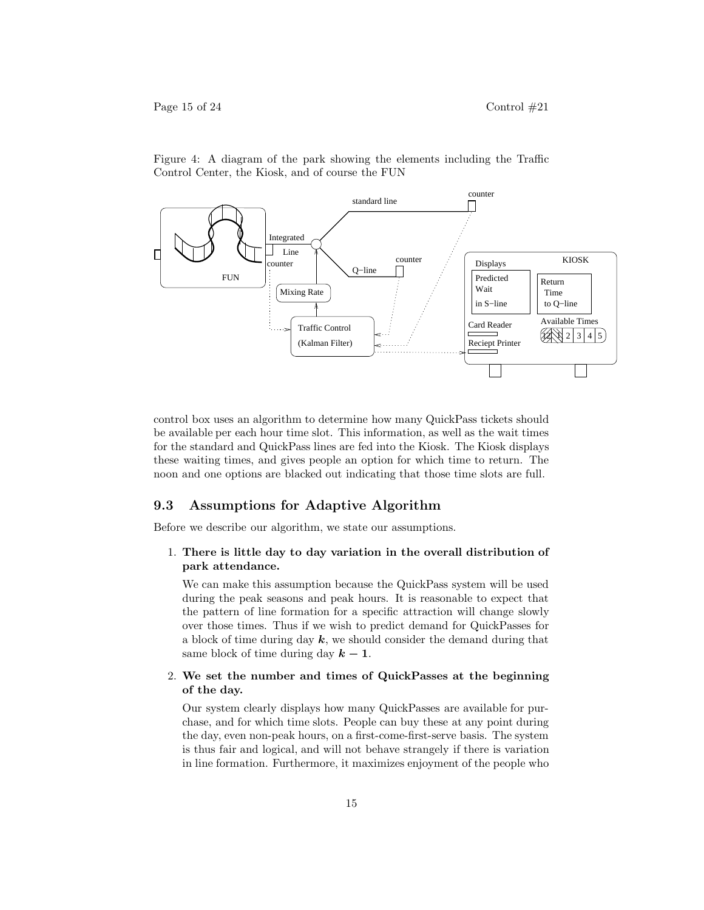

Figure 4: A diagram of the park showing the elements including the Traffic Control Center, the Kiosk, and of course the FUN

control box uses an algorithm to determine how many QuickPass tickets should be available per each hour time slot. This information, as well as the wait times for the standard and QuickPass lines are fed into the Kiosk. The Kiosk displays these waiting times, and gives people an option for which time to return. The noon and one options are blacked out indicating that those time slots are full.

### **9.3 Assumptions for Adaptive Algorithm**

Before we describe our algorithm, we state our assumptions.

### 1. **There is little day to day variation in the overall distribution of park attendance.**

We can make this assumption because the QuickPass system will be used during the peak seasons and peak hours. It is reasonable to expect that the pattern of line formation for a specific attraction will change slowly over those times. Thus if we wish to predict demand for QuickPasses for a block of time during day *k*, we should consider the demand during that same block of time during day  $k - 1$ .

### 2. **We set the number and times of QuickPasses at the beginning of the day.**

Our system clearly displays how many QuickPasses are available for purchase, and for which time slots. People can buy these at any point during the day, even non-peak hours, on a first-come-first-serve basis. The system is thus fair and logical, and will not behave strangely if there is variation in line formation. Furthermore, it maximizes enjoyment of the people who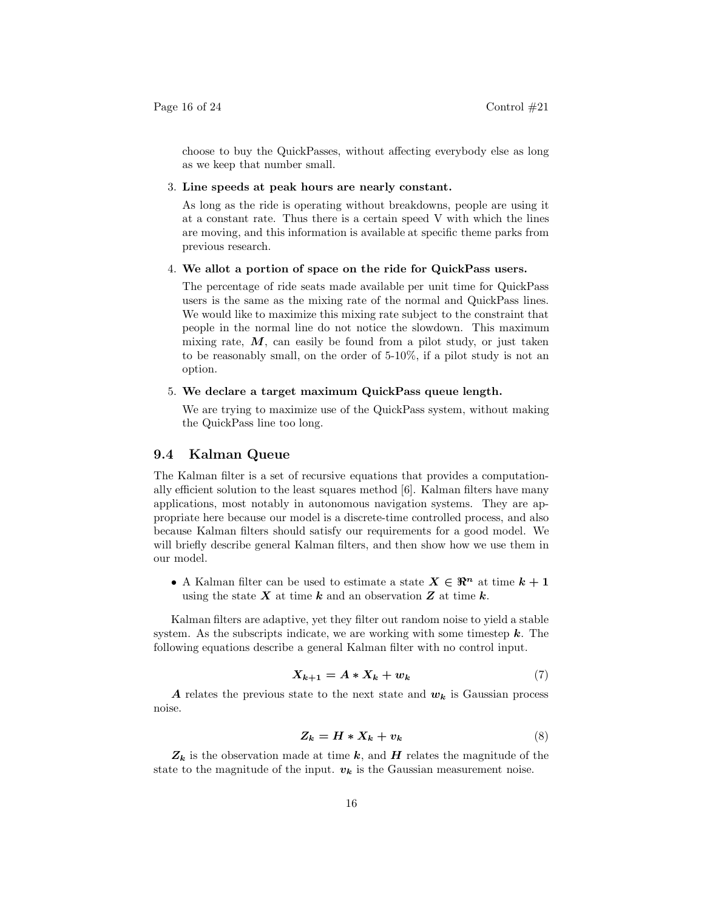choose to buy the QuickPasses, without affecting everybody else as long as we keep that number small.

#### 3. **Line speeds at peak hours are nearly constant.**

As long as the ride is operating without breakdowns, people are using it at a constant rate. Thus there is a certain speed V with which the lines are moving, and this information is available at specific theme parks from previous research.

#### 4. **We allot a portion of space on the ride for QuickPass users.**

The percentage of ride seats made available per unit time for QuickPass users is the same as the mixing rate of the normal and QuickPass lines. We would like to maximize this mixing rate subject to the constraint that people in the normal line do not notice the slowdown. This maximum mixing rate,  $M$ , can easily be found from a pilot study, or just taken to be reasonably small, on the order of 5-10%, if a pilot study is not an option.

### 5. **We declare a target maximum QuickPass queue length.**

We are trying to maximize use of the QuickPass system, without making the QuickPass line too long.

### **9.4 Kalman Queue**

The Kalman filter is a set of recursive equations that provides a computationally efficient solution to the least squares method [6]. Kalman filters have many applications, most notably in autonomous navigation systems. They are appropriate here because our model is a discrete-time controlled process, and also because Kalman filters should satisfy our requirements for a good model. We will briefly describe general Kalman filters, and then show how we use them in our model.

• A Kalman filter can be used to estimate a state  $X \in \mathbb{R}^n$  at time  $k+1$ using the state  $\boldsymbol{X}$  at time  $\boldsymbol{k}$  and an observation  $\boldsymbol{Z}$  at time  $\boldsymbol{k}$ .

Kalman filters are adaptive, yet they filter out random noise to yield a stable system. As the subscripts indicate, we are working with some timestep *k*. The following equations describe a general Kalman filter with no control input.

$$
X_{k+1} = A \ast X_k + w_k \tag{7}
$$

*A* relates the previous state to the next state and  $w_k$  is Gaussian process noise.

$$
Z_k = H * X_k + v_k \tag{8}
$$

 $Z_k$  is the observation made at time  $k$ , and  $H$  relates the magnitude of the state to the magnitude of the input.  $v_k$  is the Gaussian measurement noise.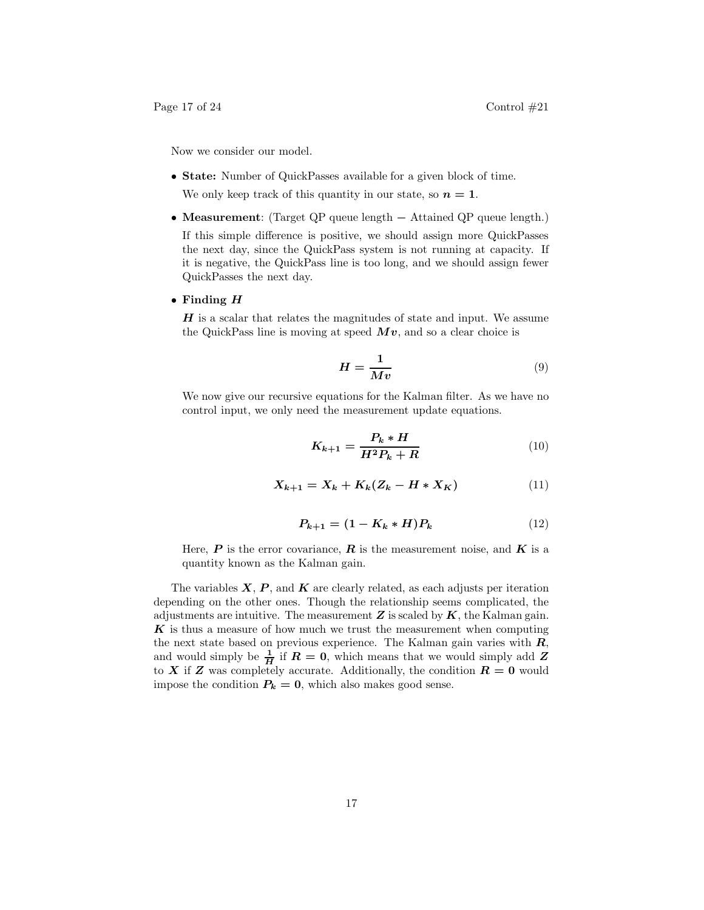Page 17 of 24 Control  $\#21$ 

Now we consider our model.

• **State:** Number of QuickPasses available for a given block of time.

We only keep track of this quantity in our state, so  $n = 1$ .

• **Measurement**: (Target QP queue length *−* Attained QP queue length.)

If this simple difference is positive, we should assign more QuickPasses the next day, since the QuickPass system is not running at capacity. If it is negative, the QuickPass line is too long, and we should assign fewer QuickPasses the next day.

• **Finding** *H*

*H* is a scalar that relates the magnitudes of state and input. We assume the QuickPass line is moving at speed  $Mv$ , and so a clear choice is

$$
H = \frac{1}{Mv} \tag{9}
$$

We now give our recursive equations for the Kalman filter. As we have no control input, we only need the measurement update equations.

$$
K_{k+1} = \frac{P_k * H}{H^2 P_k + R}
$$
\n(10)

$$
X_{k+1} = X_k + K_k (Z_k - H * X_K)
$$
 (11)

$$
P_{k+1} = (1 - K_k * H)P_k
$$
 (12)

Here,  $P$  is the error covariance,  $R$  is the measurement noise, and  $K$  is a quantity known as the Kalman gain.

The variables  $X, P$ , and  $K$  are clearly related, as each adjusts per iteration depending on the other ones. Though the relationship seems complicated, the adjustments are intuitive. The measurement  $Z$  is scaled by  $K$ , the Kalman gain. *K* is thus a measure of how much we trust the measurement when computing the next state based on previous experience. The Kalman gain varies with *R*, and would simply be  $\frac{1}{H}$  if  $R = 0$ , which means that we would simply add Z to *X* if *Z* was completely accurate. Additionally, the condition  $R = 0$  would impose the condition  $P_k = 0$ , which also makes good sense.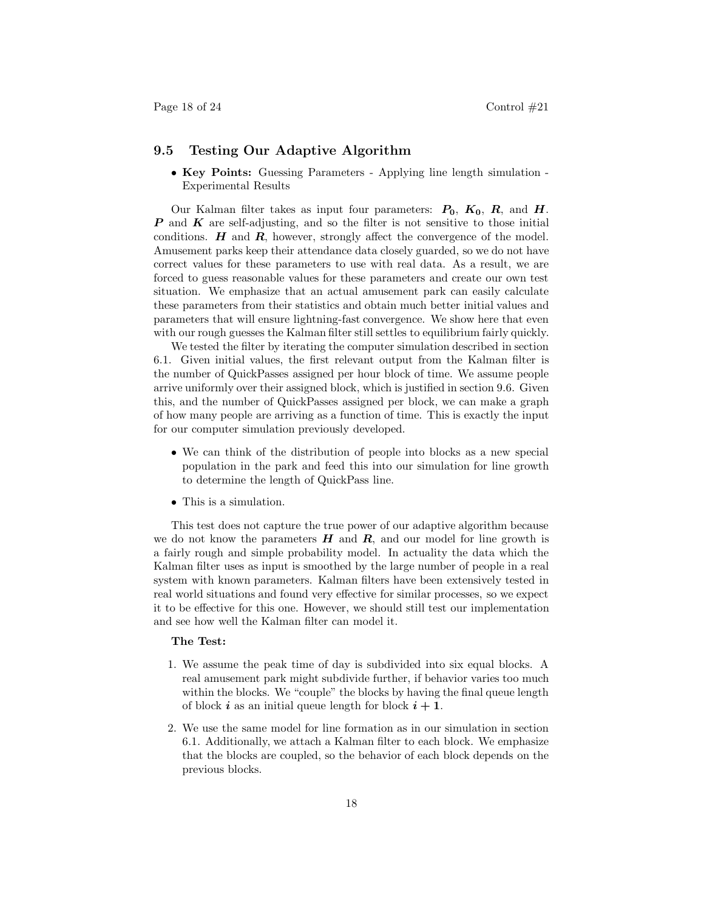### **9.5 Testing Our Adaptive Algorithm**

• **Key Points:** Guessing Parameters - Applying line length simulation - Experimental Results

Our Kalman filter takes as input four parameters:  $P_0$ ,  $K_0$ ,  $R$ , and  $H$ . *P* and *K* are self-adjusting, and so the filter is not sensitive to those initial conditions.  $H$  and  $R$ , however, strongly affect the convergence of the model. Amusement parks keep their attendance data closely guarded, so we do not have correct values for these parameters to use with real data. As a result, we are forced to guess reasonable values for these parameters and create our own test situation. We emphasize that an actual amusement park can easily calculate these parameters from their statistics and obtain much better initial values and parameters that will ensure lightning-fast convergence. We show here that even with our rough guesses the Kalman filter still settles to equilibrium fairly quickly.

We tested the filter by iterating the computer simulation described in section 6.1. Given initial values, the first relevant output from the Kalman filter is the number of QuickPasses assigned per hour block of time. We assume people arrive uniformly over their assigned block, which is justified in section 9.6. Given this, and the number of QuickPasses assigned per block, we can make a graph of how many people are arriving as a function of time. This is exactly the input for our computer simulation previously developed.

- We can think of the distribution of people into blocks as a new special population in the park and feed this into our simulation for line growth to determine the length of QuickPass line.
- This is a simulation.

This test does not capture the true power of our adaptive algorithm because we do not know the parameters *H* and *R*, and our model for line growth is a fairly rough and simple probability model. In actuality the data which the Kalman filter uses as input is smoothed by the large number of people in a real system with known parameters. Kalman filters have been extensively tested in real world situations and found very effective for similar processes, so we expect it to be effective for this one. However, we should still test our implementation and see how well the Kalman filter can model it.

#### **The Test:**

- 1. We assume the peak time of day is subdivided into six equal blocks. A real amusement park might subdivide further, if behavior varies too much within the blocks. We "couple" the blocks by having the final queue length of block *i* as an initial queue length for block *i* **+ 1**.
- 2. We use the same model for line formation as in our simulation in section 6.1. Additionally, we attach a Kalman filter to each block. We emphasize that the blocks are coupled, so the behavior of each block depends on the previous blocks.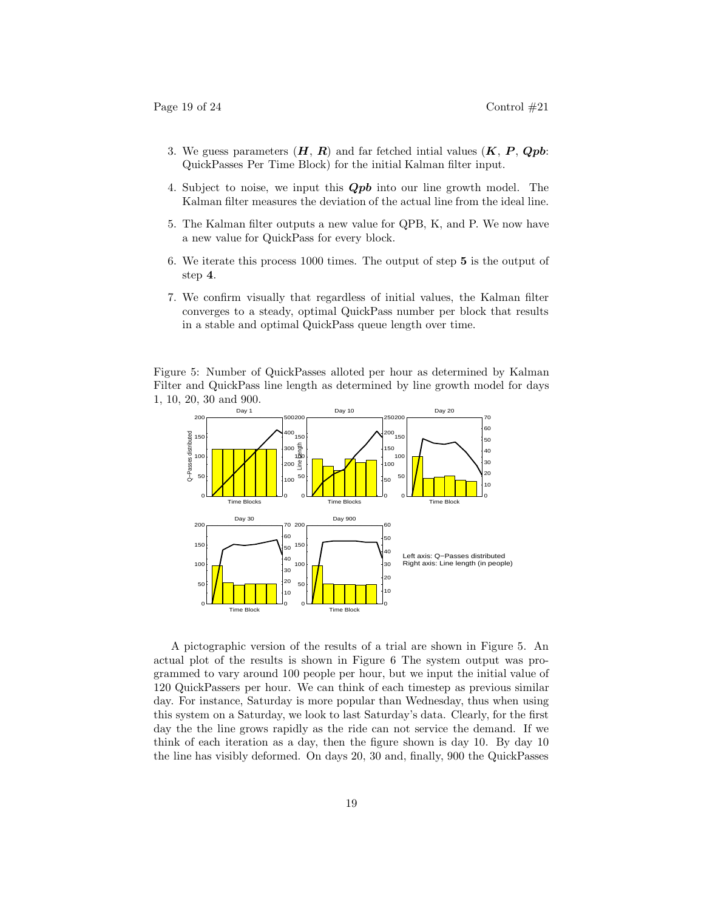- 3. We guess parameters  $(H, R)$  and far fetched intial values  $(K, P, Qpb)$ : QuickPasses Per Time Block) for the initial Kalman filter input.
- 4. Subject to noise, we input this *Qpb* into our line growth model. The Kalman filter measures the deviation of the actual line from the ideal line.
- 5. The Kalman filter outputs a new value for QPB, K, and P. We now have a new value for QuickPass for every block.
- 6. We iterate this process 1000 times. The output of step **5** is the output of step **4**.
- 7. We confirm visually that regardless of initial values, the Kalman filter converges to a steady, optimal QuickPass number per block that results in a stable and optimal QuickPass queue length over time.

Figure 5: Number of QuickPasses alloted per hour as determined by Kalman Filter and QuickPass line length as determined by line growth model for days 1, 10, 20, 30 and 900.



A pictographic version of the results of a trial are shown in Figure 5. An actual plot of the results is shown in Figure 6 The system output was programmed to vary around 100 people per hour, but we input the initial value of 120 QuickPassers per hour. We can think of each timestep as previous similar day. For instance, Saturday is more popular than Wednesday, thus when using this system on a Saturday, we look to last Saturday's data. Clearly, for the first day the the line grows rapidly as the ride can not service the demand. If we think of each iteration as a day, then the figure shown is day 10. By day 10 the line has visibly deformed. On days 20, 30 and, finally, 900 the QuickPasses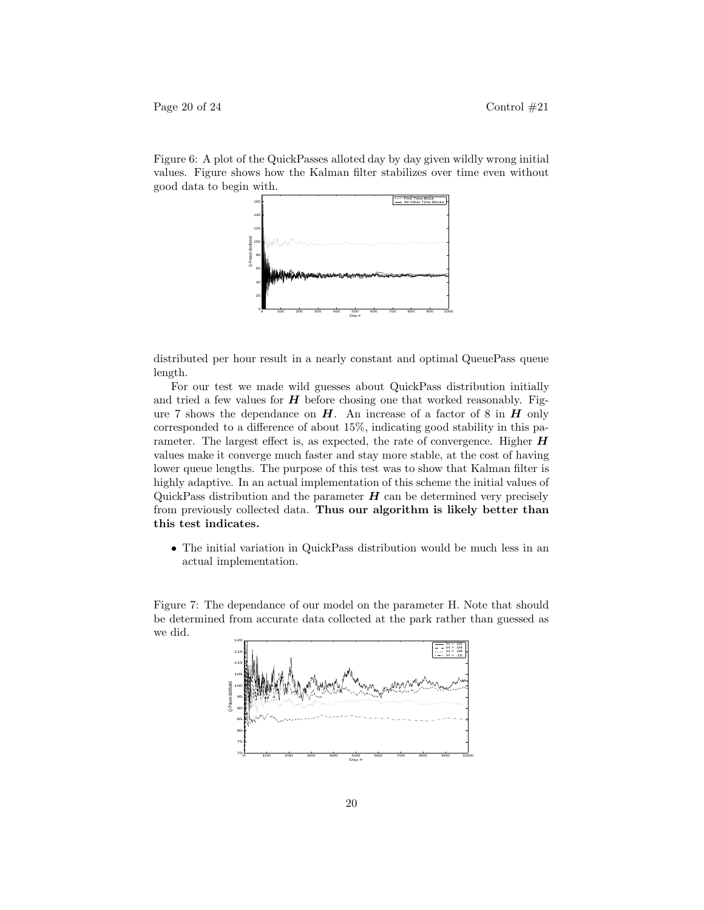Figure 6: A plot of the QuickPasses alloted day by day given wildly wrong initial values. Figure shows how the Kalman filter stabilizes over time even without good data to begin with.



distributed per hour result in a nearly constant and optimal QueuePass queue length.

For our test we made wild guesses about QuickPass distribution initially and tried a few values for  $H$  before chosing one that worked reasonably. Figure 7 shows the dependance on *H*. An increase of a factor of 8 in *H* only corresponded to a difference of about 15%, indicating good stability in this parameter. The largest effect is, as expected, the rate of convergence. Higher *H* values make it converge much faster and stay more stable, at the cost of having lower queue lengths. The purpose of this test was to show that Kalman filter is highly adaptive. In an actual implementation of this scheme the initial values of QuickPass distribution and the parameter *H* can be determined very precisely from previously collected data. **Thus our algorithm is likely better than this test indicates.**

• The initial variation in QuickPass distribution would be much less in an actual implementation.

Figure 7: The dependance of our model on the parameter H. Note that should be determined from accurate data collected at the park rather than guessed as we did.

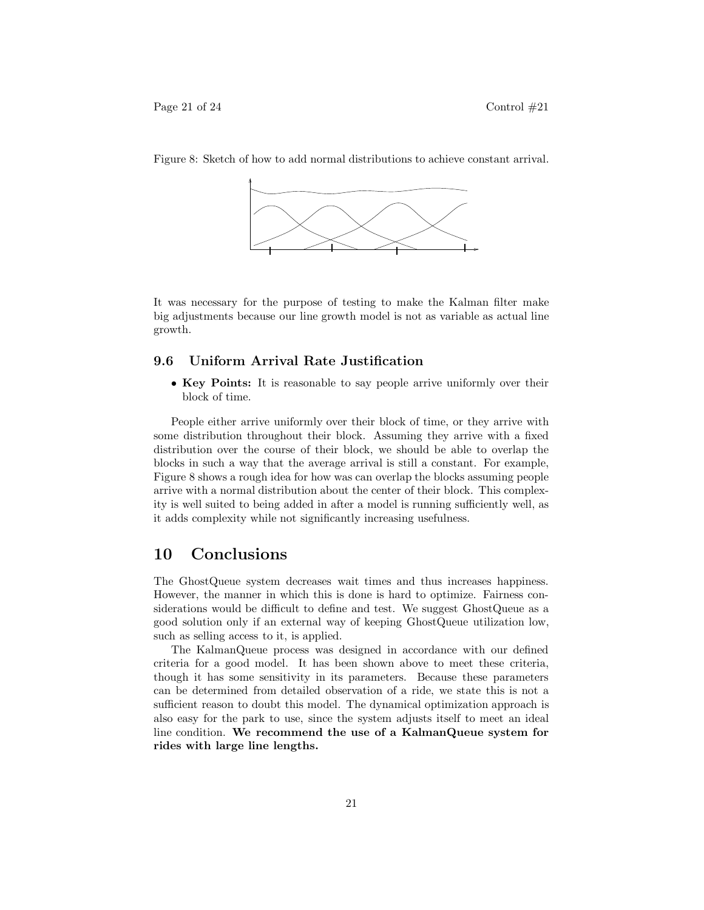Figure 8: Sketch of how to add normal distributions to achieve constant arrival.



It was necessary for the purpose of testing to make the Kalman filter make big adjustments because our line growth model is not as variable as actual line growth.

### **9.6 Uniform Arrival Rate Justification**

• **Key Points:** It is reasonable to say people arrive uniformly over their block of time.

People either arrive uniformly over their block of time, or they arrive with some distribution throughout their block. Assuming they arrive with a fixed distribution over the course of their block, we should be able to overlap the blocks in such a way that the average arrival is still a constant. For example, Figure 8 shows a rough idea for how was can overlap the blocks assuming people arrive with a normal distribution about the center of their block. This complexity is well suited to being added in after a model is running sufficiently well, as it adds complexity while not significantly increasing usefulness.

# **10 Conclusions**

The GhostQueue system decreases wait times and thus increases happiness. However, the manner in which this is done is hard to optimize. Fairness considerations would be difficult to define and test. We suggest GhostQueue as a good solution only if an external way of keeping GhostQueue utilization low, such as selling access to it, is applied.

The KalmanQueue process was designed in accordance with our defined criteria for a good model. It has been shown above to meet these criteria, though it has some sensitivity in its parameters. Because these parameters can be determined from detailed observation of a ride, we state this is not a sufficient reason to doubt this model. The dynamical optimization approach is also easy for the park to use, since the system adjusts itself to meet an ideal line condition. **We recommend the use of a KalmanQueue system for rides with large line lengths.**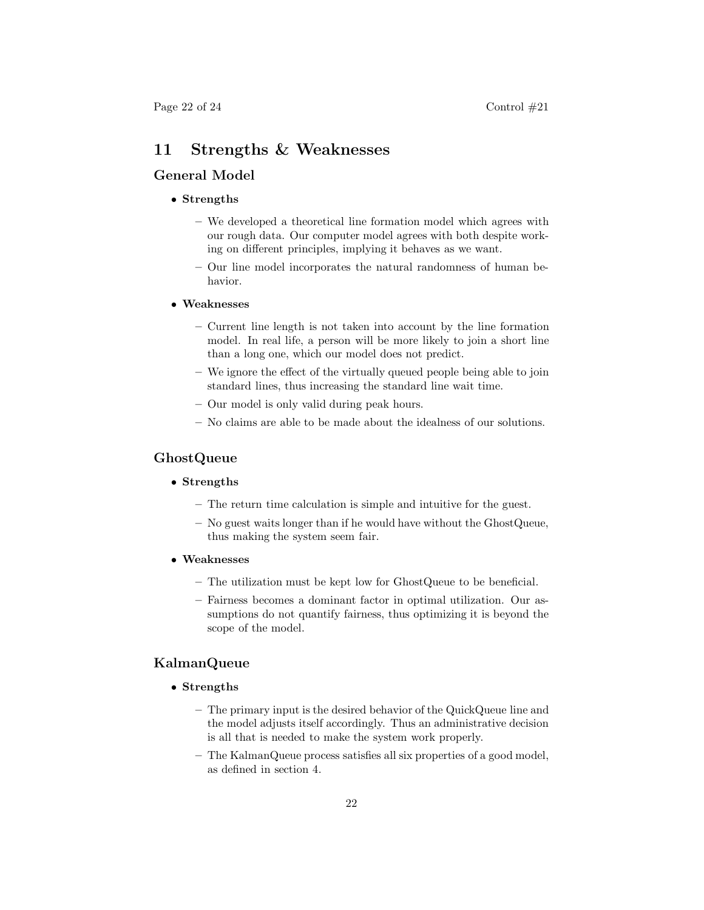## **11 Strengths & Weaknesses**

### **General Model**

### • **Strengths**

- **–** We developed a theoretical line formation model which agrees with our rough data. Our computer model agrees with both despite working on different principles, implying it behaves as we want.
- **–** Our line model incorporates the natural randomness of human behavior.

### • **Weaknesses**

- **–** Current line length is not taken into account by the line formation model. In real life, a person will be more likely to join a short line than a long one, which our model does not predict.
- **–** We ignore the effect of the virtually queued people being able to join standard lines, thus increasing the standard line wait time.
- **–** Our model is only valid during peak hours.
- **–** No claims are able to be made about the idealness of our solutions.

### **GhostQueue**

### • **Strengths**

- **–** The return time calculation is simple and intuitive for the guest.
- **–** No guest waits longer than if he would have without the GhostQueue, thus making the system seem fair.
- **Weaknesses**
	- **–** The utilization must be kept low for GhostQueue to be beneficial.
	- **–** Fairness becomes a dominant factor in optimal utilization. Our assumptions do not quantify fairness, thus optimizing it is beyond the scope of the model.

### **KalmanQueue**

### • **Strengths**

- **–** The primary input is the desired behavior of the QuickQueue line and the model adjusts itself accordingly. Thus an administrative decision is all that is needed to make the system work properly.
- **–** The KalmanQueue process satisfies all six properties of a good model, as defined in section 4.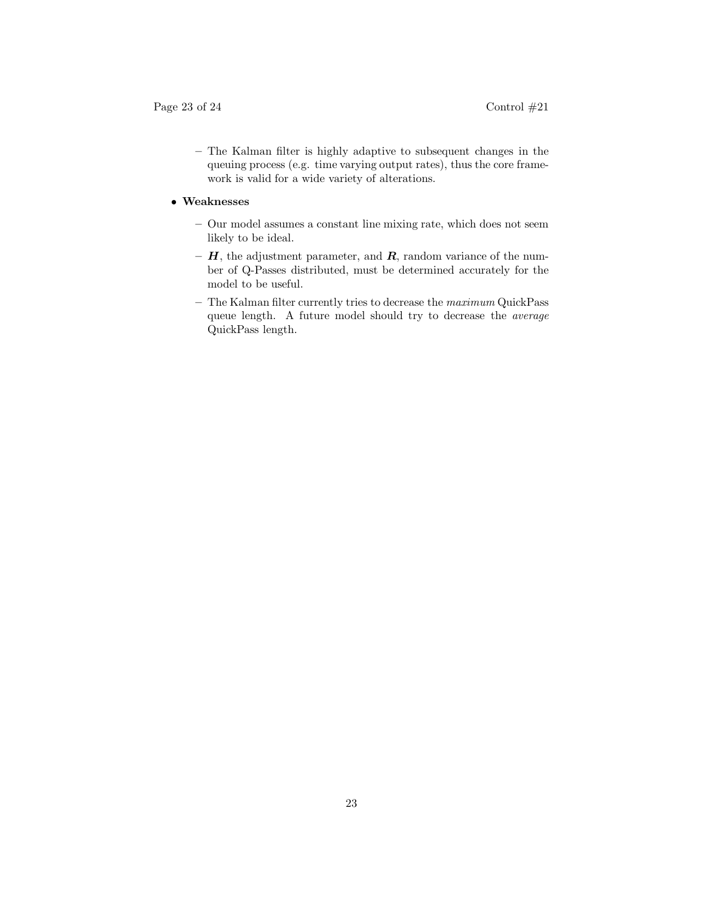**–** The Kalman filter is highly adaptive to subsequent changes in the queuing process (e.g. time varying output rates), thus the core framework is valid for a wide variety of alterations.

### • **Weaknesses**

- **–** Our model assumes a constant line mixing rate, which does not seem likely to be ideal.
- **–** *H*, the adjustment parameter, and *R*, random variance of the number of Q-Passes distributed, must be determined accurately for the model to be useful.
- **–** The Kalman filter currently tries to decrease the *maximum* QuickPass queue length. A future model should try to decrease the *average* QuickPass length.